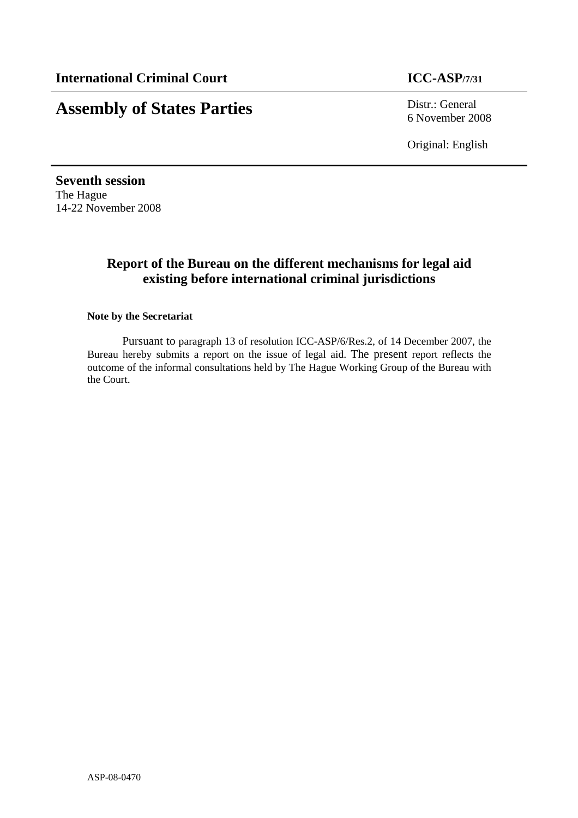# **Assembly of States Parties** Distr.: General

6 November 2008

Original: English

**Seventh session**  The Hague 14-22 November 2008

## **Report of the Bureau on the different mechanisms for legal aid existing before international criminal jurisdictions**

#### **Note by the Secretariat**

 Pursuant to paragraph 13 of resolution ICC-ASP/6/Res.2, of 14 December 2007, the Bureau hereby submits a report on the issue of legal aid. The present report reflects the outcome of the informal consultations held by The Hague Working Group of the Bureau with the Court.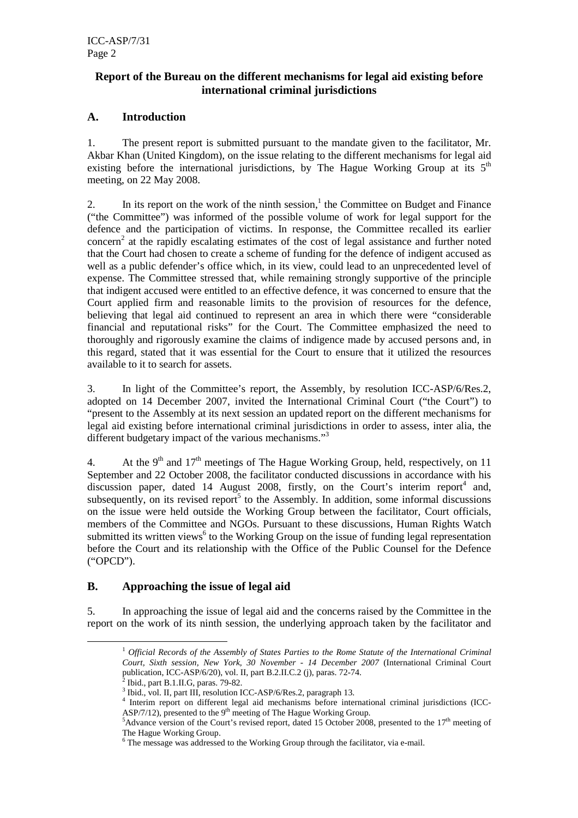#### **Report of the Bureau on the different mechanisms for legal aid existing before international criminal jurisdictions**

#### **A. Introduction**

1. The present report is submitted pursuant to the mandate given to the facilitator, Mr. Akbar Khan (United Kingdom), on the issue relating to the different mechanisms for legal aid existing before the international jurisdictions, by The Hague Working Group at its  $5<sup>th</sup>$ meeting, on 22 May 2008.

2. In its report on the work of the ninth session, $<sup>1</sup>$  the Committee on Budget and Finance</sup> ("the Committee") was informed of the possible volume of work for legal support for the defence and the participation of victims. In response, the Committee recalled its earlier concern<sup>2</sup> at the rapidly escalating estimates of the cost of legal assistance and further noted that the Court had chosen to create a scheme of funding for the defence of indigent accused as well as a public defender's office which, in its view, could lead to an unprecedented level of expense. The Committee stressed that, while remaining strongly supportive of the principle that indigent accused were entitled to an effective defence, it was concerned to ensure that the Court applied firm and reasonable limits to the provision of resources for the defence, believing that legal aid continued to represent an area in which there were "considerable financial and reputational risks" for the Court. The Committee emphasized the need to thoroughly and rigorously examine the claims of indigence made by accused persons and, in this regard, stated that it was essential for the Court to ensure that it utilized the resources available to it to search for assets.

3. In light of the Committee's report, the Assembly, by resolution ICC-ASP/6/Res.2, adopted on 14 December 2007, invited the International Criminal Court ("the Court") to "present to the Assembly at its next session an updated report on the different mechanisms for legal aid existing before international criminal jurisdictions in order to assess, inter alia, the different budgetary impact of the various mechanisms."<sup>3</sup>

4. At the 9<sup>th</sup> and 17<sup>th</sup> meetings of The Hague Working Group, held, respectively, on 11 September and 22 October 2008, the facilitator conducted discussions in accordance with his discussion paper, dated 14 August 2008, firstly, on the Court's interim report<sup>4</sup> and, subsequently, on its revised report<sup>5</sup> to the Assembly. In addition, some informal discussions on the issue were held outside the Working Group between the facilitator, Court officials, members of the Committee and NGOs. Pursuant to these discussions, Human Rights Watch submitted its written views<sup>6</sup> to the Working Group on the issue of funding legal representation before the Court and its relationship with the Office of the Public Counsel for the Defence ("OPCD").

#### **B. Approaching the issue of legal aid**

5. In approaching the issue of legal aid and the concerns raised by the Committee in the report on the work of its ninth session, the underlying approach taken by the facilitator and

 $\overline{a}$ 

<sup>&</sup>lt;sup>1</sup> Official Records of the Assembly of States Parties to the Rome Statute of the International Criminal *Court, Sixth session, New York, 30 November - 14 December 2007* (International Criminal Court publication, ICC-ASP/6/20), vol. II, part B.2.II.C.2 (j), paras. 72-74.

Ibid., part B.1.II.G, paras. 79-82.

<sup>&</sup>lt;sup>3</sup> Ibid., vol. II, part III, resolution ICC-ASP/6/Res.2, paragraph 13.

<sup>4</sup> Interim report on different legal aid mechanisms before international criminal jurisdictions (ICC-ASP/7/12), presented to the  $9<sup>th</sup>$  meeting of The Hague Working Group.

 $5$ Advance version of the Court's revised report, dated 15 October 2008, presented to the 17<sup>th</sup> meeting of The Hague Working Group.

<sup>&</sup>lt;sup>6</sup> The message was addressed to the Working Group through the facilitator, via e-mail.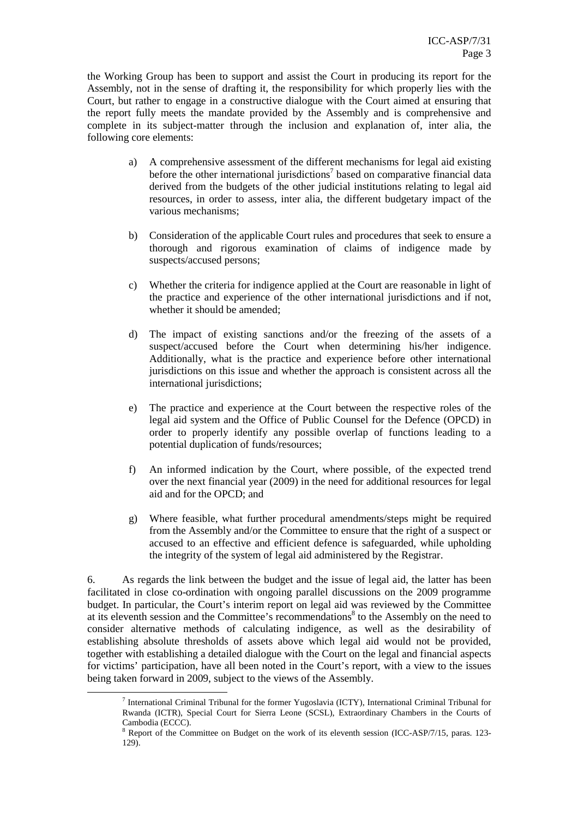the Working Group has been to support and assist the Court in producing its report for the Assembly, not in the sense of drafting it, the responsibility for which properly lies with the Court, but rather to engage in a constructive dialogue with the Court aimed at ensuring that the report fully meets the mandate provided by the Assembly and is comprehensive and complete in its subject-matter through the inclusion and explanation of, inter alia, the following core elements:

- a) A comprehensive assessment of the different mechanisms for legal aid existing before the other international jurisdictions<sup>7</sup> based on comparative financial data derived from the budgets of the other judicial institutions relating to legal aid resources, in order to assess, inter alia, the different budgetary impact of the various mechanisms;
- b) Consideration of the applicable Court rules and procedures that seek to ensure a thorough and rigorous examination of claims of indigence made by suspects/accused persons;
- c) Whether the criteria for indigence applied at the Court are reasonable in light of the practice and experience of the other international jurisdictions and if not, whether it should be amended;
- d) The impact of existing sanctions and/or the freezing of the assets of a suspect/accused before the Court when determining his/her indigence. Additionally, what is the practice and experience before other international jurisdictions on this issue and whether the approach is consistent across all the international jurisdictions;
- e) The practice and experience at the Court between the respective roles of the legal aid system and the Office of Public Counsel for the Defence (OPCD) in order to properly identify any possible overlap of functions leading to a potential duplication of funds/resources;
- f) An informed indication by the Court, where possible, of the expected trend over the next financial year (2009) in the need for additional resources for legal aid and for the OPCD; and
- g) Where feasible, what further procedural amendments/steps might be required from the Assembly and/or the Committee to ensure that the right of a suspect or accused to an effective and efficient defence is safeguarded, while upholding the integrity of the system of legal aid administered by the Registrar.

6. As regards the link between the budget and the issue of legal aid, the latter has been facilitated in close co-ordination with ongoing parallel discussions on the 2009 programme budget. In particular, the Court's interim report on legal aid was reviewed by the Committee at its eleventh session and the Committee's recommendations<sup>8</sup> to the Assembly on the need to consider alternative methods of calculating indigence, as well as the desirability of establishing absolute thresholds of assets above which legal aid would not be provided, together with establishing a detailed dialogue with the Court on the legal and financial aspects for victims' participation, have all been noted in the Court's report, with a view to the issues being taken forward in 2009, subject to the views of the Assembly.

 $\overline{a}$ 

<sup>&</sup>lt;sup>7</sup> International Criminal Tribunal for the former Yugoslavia (ICTY), International Criminal Tribunal for Rwanda (ICTR), Special Court for Sierra Leone (SCSL), Extraordinary Chambers in the Courts of Cambodia (ECCC).

<sup>&</sup>lt;sup>8</sup> Report of the Committee on Budget on the work of its eleventh session (ICC-ASP/7/15, paras. 123-129).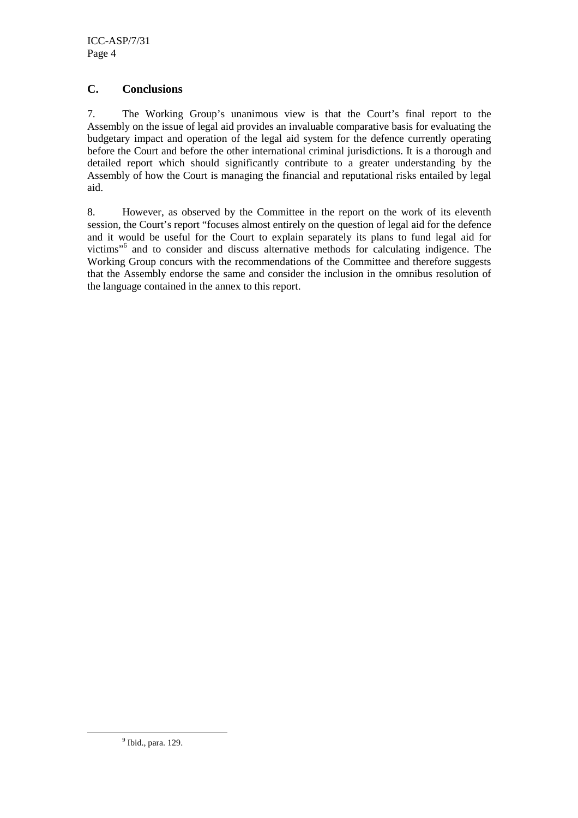#### **C. Conclusions**

7. The Working Group's unanimous view is that the Court's final report to the Assembly on the issue of legal aid provides an invaluable comparative basis for evaluating the budgetary impact and operation of the legal aid system for the defence currently operating before the Court and before the other international criminal jurisdictions. It is a thorough and detailed report which should significantly contribute to a greater understanding by the Assembly of how the Court is managing the financial and reputational risks entailed by legal aid.

8. However, as observed by the Committee in the report on the work of its eleventh session, the Court's report "focuses almost entirely on the question of legal aid for the defence and it would be useful for the Court to explain separately its plans to fund legal aid for victims"<sup>6</sup> and to consider and discuss alternative methods for calculating indigence. The Working Group concurs with the recommendations of the Committee and therefore suggests that the Assembly endorse the same and consider the inclusion in the omnibus resolution of the language contained in the annex to this report.

 $\overline{a}$ 

<sup>&</sup>lt;sup>9</sup> Ibid., para. 129.